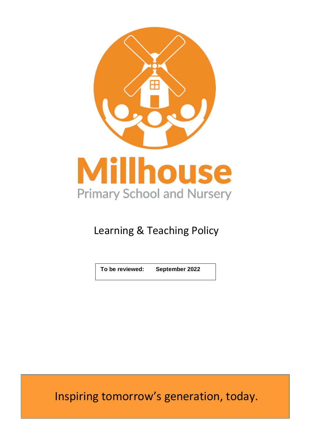

# Learning & Teaching Policy

**To be reviewed: September 2022**

Inspiring tomorrow's generation, today.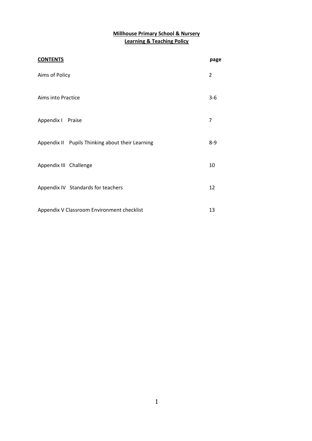# **Millhouse Primary School & Nursery Learning & Teaching Policy**

| <b>CONTENTS</b>                                  | page    |
|--------------------------------------------------|---------|
| Aims of Policy                                   |         |
| Aims into Practice                               |         |
| Appendix   Praise                                | 7       |
| Appendix II Pupils Thinking about their Learning | $8 - 9$ |
| Appendix III Challenge                           | 10      |
| Appendix IV Standards for teachers               | 12      |
| Appendix V Classroom Environment checklist       | 13      |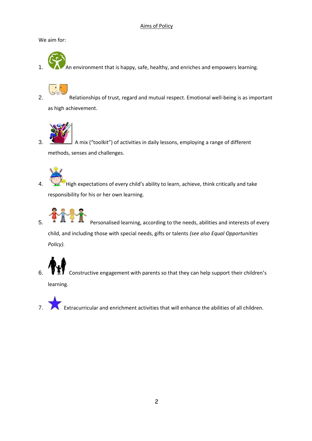# Aims of Policy

We aim for:

An environment that is happy, safe, healthy, and enriches and empowers learning.

2. Relationships of trust, regard and mutual respect. Emotional well-being is as important as high achievement.



3. A mix ("toolkit") of activities in daily lessons, employing a range of different methods, senses and challenges.

4. High expectations of every child's ability to learn, achieve, think critically and take responsibility for his or her own learning.



 $\overline{5}$ . **Particular 1** Personalised learning, according to the needs, abilities and interests of every child, and including those with special needs, gifts or talents *(see also Equal Opportunities Policy).*

6.  $\mathbf{V}$   $\mathbf{\overline{N}}$  Constructive engagement with parents so that they can help support their children's

learning.

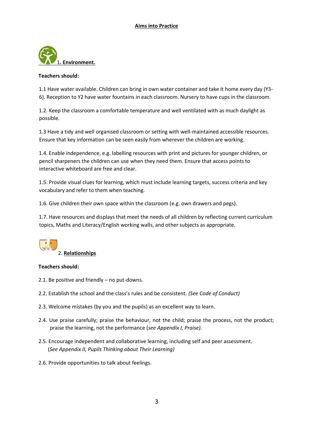

#### **Teachers should:**

1.1 Have water available. Children can bring in own water container and take it home every day (Y3- 6). Reception to Y2 have water fountains in each classroom. Nursery to have cups in the classroom.

1.2. Keep the classroom a comfortable temperature and well ventilated with as much daylight as possible.

1.3 Have a tidy and well organised classroom or setting with well-maintained accessible resources. Ensure that key information can be seen easily from wherever the children are working.

1.4. Enable independence, e.g. labelling resources with print and pictures for younger children, or pencil sharpeners the children can use when they need them. Ensure that access points to interactive whiteboard are free and clear.

1.5. Provide visual clues for learning, which must include learning targets, success criteria and key vocabulary and refer to them when teaching.

1.6. Give children their own space within the classroom (e.g. own drawers and pegs).

1.7. Have resources and displays that meet the needs of all children by reflecting current curriculum topics, Maths and Literacy/English working walls, and other subjects as appropriate.



#### **Teachers should:**

- 2.1. Be positive and friendly no put-downs.
- 2.2. Establish the school and the class's rules and be consistent. *(See Code of Conduct)*
- 2.3. Welcome mistakes (by you and the pupils) as an excellent way to learn.
- 2.4*.* Use praise carefully; praise the behaviour, not the child; praise the process, not the product; praise the learning, not the performance (*see Appendix I, Praise).*
- 2.5*.* Encourage independent and collaborative learning, including self and peer assessment. (*See Appendix II, Pupils Thinking about Their Learning)*
- 2.6*.* Provide opportunities to talk about feelings.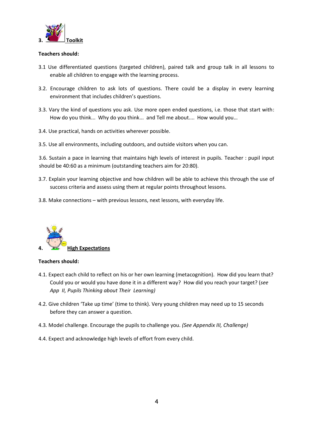

#### **Teachers should:**

- 3.1 Use differentiated questions (targeted children), paired talk and group talk in all lessons to enable all children to engage with the learning process.
- 3.2. Encourage children to ask lots of questions. There could be a display in every learning environment that includes children's questions.
- 3.3. Vary the kind of questions you ask. Use more open ended questions, i.e. those that start with: How do you think... Why do you think... and Tell me about.... How would you…
- 3.4. Use practical, hands on activities wherever possible.
- 3.5. Use all environments, including outdoors, and outside visitors when you can.

3.6. Sustain a pace in learning that maintains high levels of interest in pupils. Teacher : pupil input should be 40:60 as a minimum (outstanding teachers aim for 20:80).

- 3.7. Explain your learning objective and how children will be able to achieve this through the use of success criteria and assess using them at regular points throughout lessons.
- 3.8. Make connections with previous lessons, next lessons, with everyday life.



#### **Teachers should:**

- 4.1. Expect each child to reflect on his or her own learning (metacognition). How did you learn that? Could you or would you have done it in a different way? How did you reach your target? (*see App II, Pupils Thinking about Their Learning)*
- 4.2. Give children 'Take up time' (time to think). Very young children may need up to 15 seconds before they can answer a question.
- 4.3*.* Model challenge. Encourage the pupils to challenge you. *(See Appendix III, Challenge)*
- 4.4. Expect and acknowledge high levels of effort from every child.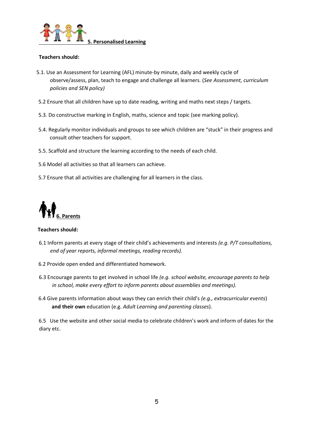

#### **Teachers should:**

- 5.1. Use an Assessment for Learning (AFL) minute-by minute, daily and weekly cycle of observe/assess, plan, teach to engage and challenge all learners. (*See Assessment, curriculum policies and SEN policy)*
- 5.2 Ensure that all children have up to date reading, writing and maths next steps / targets.
- 5.3. Do constructive marking in English, maths, science and topic (see marking policy).
- 5.4. Regularly monitor individuals and groups to see which children are "stuck" in their progress and consult other teachers for support.
- 5.5. Scaffold and structure the learning according to the needs of each child.
- 5.6 Model all activities so that all learners can achieve.
- 5.7 Ensure that all activities are challenging for all learners in the class.



#### **Teachers should:**

- 6.1 Inform parents at every stage of their child's achievements and interests *(e.g. P/T consultations, end of year reports, informal meetings, reading records).*
- 6.2 Provide open ended and differentiated homework.
- 6.3 Encourage parents to get involved in school life *(e.g. school website, encourage parents to help in school, make every effort to inform parents about assemblies and meetings).*
- 6.4 Give parents information about ways they can enrich their child's *(e.g., extracurricular events*) **and their own** education (e.g. *Adult Learning and parenting classes*).

6.5 Use the website and other social media to celebrate children's work and inform of dates for the diary etc.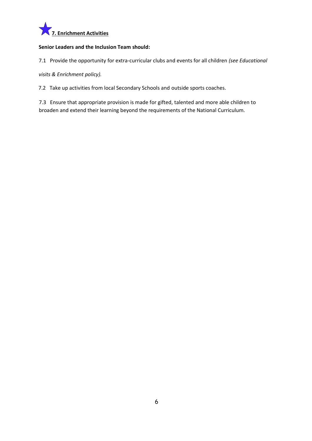

## **Senior Leaders and the Inclusion Team should:**

7.1 Provide the opportunity for extra-curricular clubs and events for all children *(see Educational* 

*visits & Enrichment policy).* 

7.2 Take up activities from local Secondary Schools and outside sports coaches.

7.3 Ensure that appropriate provision is made for gifted, talented and more able children to broaden and extend their learning beyond the requirements of the National Curriculum.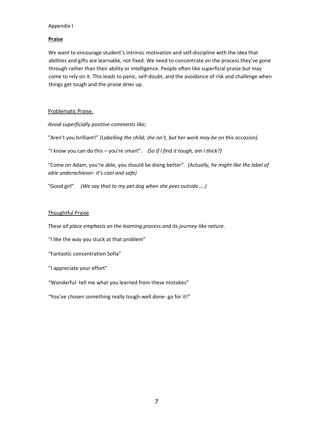#### Appendix I

# **Praise**

We want to encourage student's intrinsic motivation and self-discipline with the idea that abilities and gifts are learnable, not fixed. We need to concentrate on the process they've gone through rather than their ability or intelligence. People often like superficial praise but may come to rely on it. This leads to panic, self-doubt, and the avoidance of risk and challenge when things get tough and the praise dries up.

# Problematic Praise.

*Avoid superficially positive comments like;* 

"Aren't you brilliant!" *(Labelling the child; she isn't, but her work may be on this occasion).* 

"I know you can do this – you're smart". *(So if I find it tough, am I thick?)*

"Come on Adam, you're able, you should be doing better". *(Actually, he might like the label of able underachiever- it's cool and safe)* 

"Good girl" *(We say that to my pet dog when she pees outside…..)*

## Thoughtful Praise

*These all place emphasis on the learning process and its journey-like nature.* 

"I like the way you stuck at that problem"

"Fantastic concentration Sofia"

"I appreciate your effort"

"Wonderful- tell me what you learned from these mistakes"

"You've chosen something really tough-well done- go for it!"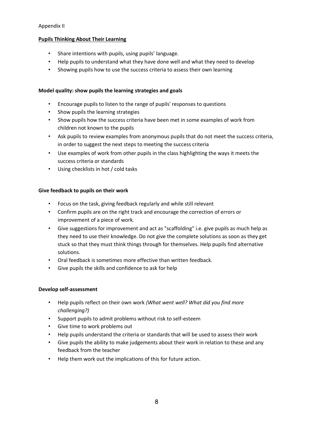# Appendix II

# **Pupils Thinking About Their Learning**

- Share intentions with pupils, using pupils' language.
- Help pupils to understand what they have done well and what they need to develop
- Showing pupils how to use the success criteria to assess their own learning

# **Model quality: show pupils the learning strategies and goals**

- Encourage pupils to listen to the range of pupils' responses to questions
- Show pupils the learning strategies
- Show pupils how the success criteria have been met in some examples of work from children not known to the pupils
- Ask pupils to review examples from anonymous pupils that do not meet the success criteria, in order to suggest the next steps to meeting the success criteria
- Use examples of work from other pupils in the class highlighting the ways it meets the success criteria or standards
- Using checklists in hot / cold tasks

## **Give feedback to pupils on their work**

- Focus on the task, giving feedback regularly and while still relevant
- Confirm pupils are on the right track and encourage the correction of errors or improvement of a piece of work.
- Give suggestions for improvement and act as "scaffolding" i.e. give pupils as much help as they need to use their knowledge. Do not give the complete solutions as soon as they get stuck so that they must think things through for themselves. Help pupils find alternative solutions.
- Oral feedback is sometimes more effective than written feedback.
- Give pupils the skills and confidence to ask for help

# **Develop self-assessment**

- Help pupils reflect on their own work *(What went well? What did you find more challenging?)*
- Support pupils to admit problems without risk to self-esteem
- Give time to work problems out
- Help pupils understand the criteria or standards that will be used to assess their work
- Give pupils the ability to make judgements about their work in relation to these and any feedback from the teacher
- Help them work out the implications of this for future action.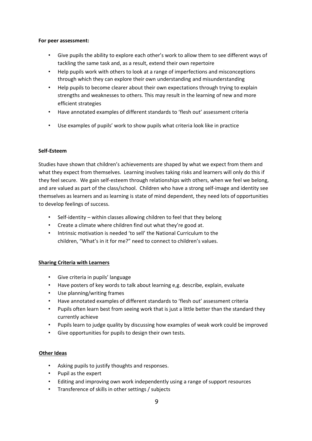#### **For peer assessment:**

- Give pupils the ability to explore each other's work to allow them to see different ways of tackling the same task and, as a result, extend their own repertoire
- Help pupils work with others to look at a range of imperfections and misconceptions through which they can explore their own understanding and misunderstanding
- Help pupils to become clearer about their own expectations through trying to explain strengths and weaknesses to others. This may result in the learning of new and more efficient strategies
- Have annotated examples of different standards to 'flesh out' assessment criteria
- Use examples of pupils' work to show pupils what criteria look like in practice

## **Self-Esteem**

Studies have shown that children's achievements are shaped by what we expect from them and what they expect from themselves. Learning involves taking risks and learners will only do this if they feel secure. We gain self-esteem through relationships with others, when we feel we belong, and are valued as part of the class/school. Children who have a strong self-image and identity see themselves as learners and as learning is state of mind dependent, they need lots of opportunities to develop feelings of success.

- Self-identity within classes allowing children to feel that they belong
- Create a climate where children find out what they're good at.
- Intrinsic motivation is needed 'to sell' the National Curriculum to the children, "What's in it for me?" need to connect to children's values.

#### **Sharing Criteria with Learners**

- Give criteria in pupils' language
- Have posters of key words to talk about learning e,g. describe, explain, evaluate
- Use planning/writing frames
- Have annotated examples of different standards to 'flesh out' assessment criteria
- Pupils often learn best from seeing work that is just a little better than the standard they currently achieve
- Pupils learn to judge quality by discussing how examples of weak work could be improved
- Give opportunities for pupils to design their own tests.

#### **Other Ideas**

- Asking pupils to justify thoughts and responses.
- Pupil as the expert
- Editing and improving own work independently using a range of support resources
- Transference of skills in other settings / subjects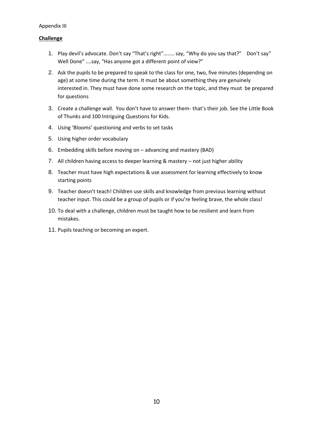## Appendix III

# **Challenge**

- 1. Play devil's advocate. Don't say "That's right"…..… say, "Why do you say that?" Don't say" Well Done" ….say, "Has anyone got a different point of view?"
- 2. Ask the pupils to be prepared to speak to the class for one, two, five minutes (depending on age) at some time during the term. It must be about something they are genuinely interested in. They must have done some research on the topic, and they must be prepared for questions
- 3. Create a challenge wall. You don't have to answer them- that's their job. See the Little Book of Thunks and 100 Intriguing Questions for Kids.
- 4. Using 'Blooms' questioning and verbs to set tasks
- 5. Using higher order vocabulary
- 6. Embedding skills before moving on advancing and mastery (BAD)
- 7. All children having access to deeper learning & mastery not just higher ability
- 8. Teacher must have high expectations & use assessment for learning effectively to know starting points
- 9. Teacher doesn't teach! Children use skills and knowledge from previous learning without teacher input. This could be a group of pupils or if you're feeling brave, the whole class!
- 10. To deal with a challenge, children must be taught how to be resilient and learn from mistakes.
- 11. Pupils teaching or becoming an expert.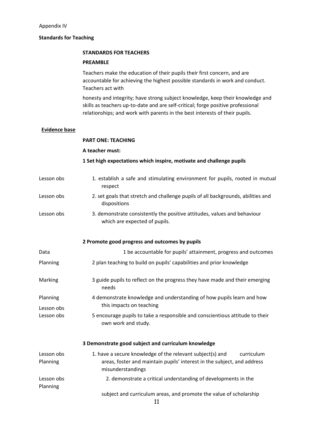# **Standards for Teaching**

#### **STANDARDS FOR TEACHERS**

#### **PREAMBLE**

Teachers make the education of their pupils their first concern, and are accountable for achieving the highest possible standards in work and conduct. Teachers act with

honesty and integrity; have strong subject knowledge, keep their knowledge and skills as teachers up-to-date and are self-critical; forge positive professional relationships; and work with parents in the best interests of their pupils.

#### **Evidence base**

|                        | <b>PART ONE: TEACHING</b>                                                                                                                                               |
|------------------------|-------------------------------------------------------------------------------------------------------------------------------------------------------------------------|
|                        | A teacher must:                                                                                                                                                         |
|                        | 1 Set high expectations which inspire, motivate and challenge pupils                                                                                                    |
| Lesson obs             | 1. establish a safe and stimulating environment for pupils, rooted in mutual<br>respect                                                                                 |
| Lesson obs             | 2. set goals that stretch and challenge pupils of all backgrounds, abilities and<br>dispositions                                                                        |
| Lesson obs             | 3. demonstrate consistently the positive attitudes, values and behaviour<br>which are expected of pupils.                                                               |
|                        | 2 Promote good progress and outcomes by pupils                                                                                                                          |
| Data                   | 1 be accountable for pupils' attainment, progress and outcomes                                                                                                          |
| Planning               | 2 plan teaching to build on pupils' capabilities and prior knowledge                                                                                                    |
| Marking                | 3 guide pupils to reflect on the progress they have made and their emerging<br>needs                                                                                    |
| Planning<br>Lesson obs | 4 demonstrate knowledge and understanding of how pupils learn and how<br>this impacts on teaching                                                                       |
| Lesson obs             | 5 encourage pupils to take a responsible and conscientious attitude to their<br>own work and study.                                                                     |
|                        | 3 Demonstrate good subject and curriculum knowledge                                                                                                                     |
| Lesson obs<br>Planning | 1. have a secure knowledge of the relevant subject(s) and<br>curriculum<br>areas, foster and maintain pupils' interest in the subject, and address<br>misunderstandings |
| Lesson obs<br>Planning | 2. demonstrate a critical understanding of developments in the                                                                                                          |
|                        | subject and curriculum areas, and promote the value of scholarship<br>11                                                                                                |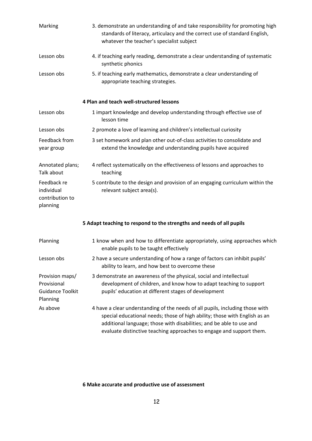| Marking                                                               | 3. demonstrate an understanding of and take responsibility for promoting high<br>standards of literacy, articulacy and the correct use of standard English,<br>whatever the teacher's specialist subject                                                                                                    |
|-----------------------------------------------------------------------|-------------------------------------------------------------------------------------------------------------------------------------------------------------------------------------------------------------------------------------------------------------------------------------------------------------|
| Lesson obs                                                            | 4. if teaching early reading, demonstrate a clear understanding of systematic<br>synthetic phonics                                                                                                                                                                                                          |
| Lesson obs                                                            | 5. if teaching early mathematics, demonstrate a clear understanding of<br>appropriate teaching strategies.                                                                                                                                                                                                  |
|                                                                       | 4 Plan and teach well-structured lessons                                                                                                                                                                                                                                                                    |
| Lesson obs                                                            | 1 impart knowledge and develop understanding through effective use of<br>lesson time                                                                                                                                                                                                                        |
| Lesson obs                                                            | 2 promote a love of learning and children's intellectual curiosity                                                                                                                                                                                                                                          |
| Feedback from<br>year group                                           | 3 set homework and plan other out-of-class activities to consolidate and<br>extend the knowledge and understanding pupils have acquired                                                                                                                                                                     |
| Annotated plans;<br>Talk about                                        | 4 reflect systematically on the effectiveness of lessons and approaches to<br>teaching                                                                                                                                                                                                                      |
| Feedback re<br>individual<br>contribution to<br>planning              | 5 contribute to the design and provision of an engaging curriculum within the<br>relevant subject area(s).                                                                                                                                                                                                  |
|                                                                       | 5 Adapt teaching to respond to the strengths and needs of all pupils                                                                                                                                                                                                                                        |
| Planning                                                              | 1 know when and how to differentiate appropriately, using approaches which<br>enable pupils to be taught effectively                                                                                                                                                                                        |
| Lesson obs                                                            | 2 have a secure understanding of how a range of factors can inhibit pupils'<br>ability to learn, and how best to overcome these                                                                                                                                                                             |
| Provision maps/<br>Provisional<br><b>Guidance Toolkit</b><br>Planning | 3 demonstrate an awareness of the physical, social and intellectual<br>development of children, and know how to adapt teaching to support<br>pupils' education at different stages of development                                                                                                           |
| As above                                                              | 4 have a clear understanding of the needs of all pupils, including those with<br>special educational needs; those of high ability; those with English as an<br>additional language; those with disabilities; and be able to use and<br>evaluate distinctive teaching approaches to engage and support them. |

# **6 Make accurate and productive use of assessment**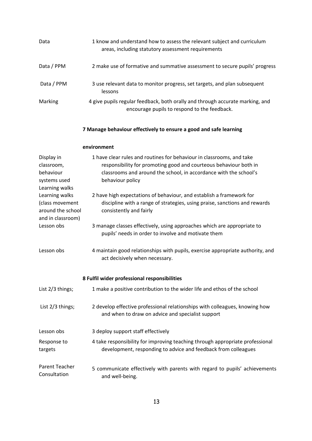| Data                                                                        | 1 know and understand how to assess the relevant subject and curriculum<br>areas, including statutory assessment requirements                                                                                                       |
|-----------------------------------------------------------------------------|-------------------------------------------------------------------------------------------------------------------------------------------------------------------------------------------------------------------------------------|
| Data / PPM                                                                  | 2 make use of formative and summative assessment to secure pupils' progress                                                                                                                                                         |
| Data / PPM                                                                  | 3 use relevant data to monitor progress, set targets, and plan subsequent<br>lessons                                                                                                                                                |
| Marking                                                                     | 4 give pupils regular feedback, both orally and through accurate marking, and<br>encourage pupils to respond to the feedback.                                                                                                       |
|                                                                             | 7 Manage behaviour effectively to ensure a good and safe learning                                                                                                                                                                   |
|                                                                             | environment                                                                                                                                                                                                                         |
| Display in<br>classroom,<br>behaviour<br>systems used<br>Learning walks     | 1 have clear rules and routines for behaviour in classrooms, and take<br>responsibility for promoting good and courteous behaviour both in<br>classrooms and around the school, in accordance with the school's<br>behaviour policy |
| Learning walks<br>(class movement<br>around the school<br>and in classroom) | 2 have high expectations of behaviour, and establish a framework for<br>discipline with a range of strategies, using praise, sanctions and rewards<br>consistently and fairly                                                       |
| Lesson obs                                                                  | 3 manage classes effectively, using approaches which are appropriate to<br>pupils' needs in order to involve and motivate them                                                                                                      |
| Lesson obs                                                                  | 4 maintain good relationships with pupils, exercise appropriate authority, and<br>act decisively when necessary.                                                                                                                    |
|                                                                             | 8 Fulfil wider professional responsibilities                                                                                                                                                                                        |
| List 2/3 things;                                                            | 1 make a positive contribution to the wider life and ethos of the school                                                                                                                                                            |
| List 2/3 things;                                                            | 2 develop effective professional relationships with colleagues, knowing how<br>and when to draw on advice and specialist support                                                                                                    |
| Lesson obs                                                                  | 3 deploy support staff effectively                                                                                                                                                                                                  |
| Response to<br>targets                                                      | 4 take responsibility for improving teaching through appropriate professional<br>development, responding to advice and feedback from colleagues                                                                                     |
| <b>Parent Teacher</b><br>Consultation                                       | 5 communicate effectively with parents with regard to pupils' achievements<br>and well-being.                                                                                                                                       |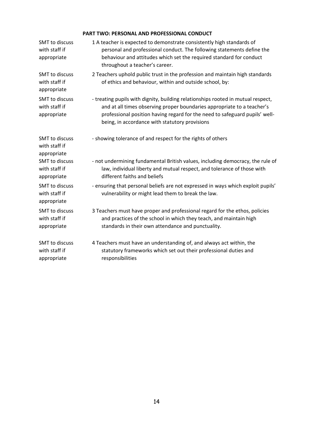# **PART TWO: PERSONAL AND PROFESSIONAL CONDUCT**

| <b>SMT</b> to discuss<br>with staff if<br>appropriate | 1 A teacher is expected to demonstrate consistently high standards of<br>personal and professional conduct. The following statements define the<br>behaviour and attitudes which set the required standard for conduct<br>throughout a teacher's career.                                     |
|-------------------------------------------------------|----------------------------------------------------------------------------------------------------------------------------------------------------------------------------------------------------------------------------------------------------------------------------------------------|
| SMT to discuss<br>with staff if<br>appropriate        | 2 Teachers uphold public trust in the profession and maintain high standards<br>of ethics and behaviour, within and outside school, by:                                                                                                                                                      |
| SMT to discuss<br>with staff if<br>appropriate        | - treating pupils with dignity, building relationships rooted in mutual respect,<br>and at all times observing proper boundaries appropriate to a teacher's<br>professional position having regard for the need to safeguard pupils' well-<br>being, in accordance with statutory provisions |
| <b>SMT</b> to discuss<br>with staff if<br>appropriate | - showing tolerance of and respect for the rights of others                                                                                                                                                                                                                                  |
| SMT to discuss<br>with staff if<br>appropriate        | - not undermining fundamental British values, including democracy, the rule of<br>law, individual liberty and mutual respect, and tolerance of those with<br>different faiths and beliefs                                                                                                    |
| SMT to discuss<br>with staff if<br>appropriate        | - ensuring that personal beliefs are not expressed in ways which exploit pupils'<br>vulnerability or might lead them to break the law.                                                                                                                                                       |
| SMT to discuss<br>with staff if<br>appropriate        | 3 Teachers must have proper and professional regard for the ethos, policies<br>and practices of the school in which they teach, and maintain high<br>standards in their own attendance and punctuality.                                                                                      |
| <b>SMT</b> to discuss<br>with staff if<br>appropriate | 4 Teachers must have an understanding of, and always act within, the<br>statutory frameworks which set out their professional duties and<br>responsibilities                                                                                                                                 |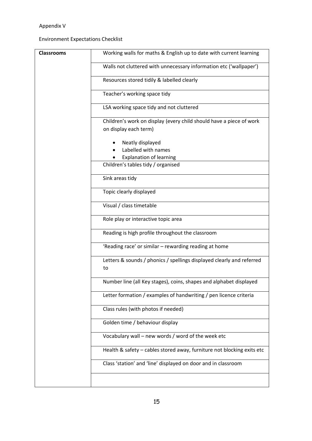# Appendix V

Environment Expectations Checklist

| <b>Classrooms</b> | Working walls for maths & English up to date with current learning          |
|-------------------|-----------------------------------------------------------------------------|
|                   | Walls not cluttered with unnecessary information etc ('wallpaper')          |
|                   | Resources stored tidily & labelled clearly                                  |
|                   | Teacher's working space tidy                                                |
|                   | LSA working space tidy and not cluttered                                    |
|                   | Children's work on display (every child should have a piece of work         |
|                   | on display each term)                                                       |
|                   | Neatly displayed<br>Labelled with names                                     |
|                   | <b>Explanation of learning</b>                                              |
|                   | Children's tables tidy / organised                                          |
|                   | Sink areas tidy                                                             |
|                   | Topic clearly displayed                                                     |
|                   | Visual / class timetable                                                    |
|                   | Role play or interactive topic area                                         |
|                   | Reading is high profile throughout the classroom                            |
|                   | 'Reading race' or similar - rewarding reading at home                       |
|                   | Letters & sounds / phonics / spellings displayed clearly and referred<br>to |
|                   | Number line (all Key stages), coins, shapes and alphabet displayed          |
|                   | Letter formation / examples of handwriting / pen licence criteria           |
|                   | Class rules (with photos if needed)                                         |
|                   | Golden time / behaviour display                                             |
|                   | Vocabulary wall – new words / word of the week etc                          |
|                   | Health & safety - cables stored away, furniture not blocking exits etc      |
|                   | Class 'station' and 'line' displayed on door and in classroom               |
|                   |                                                                             |